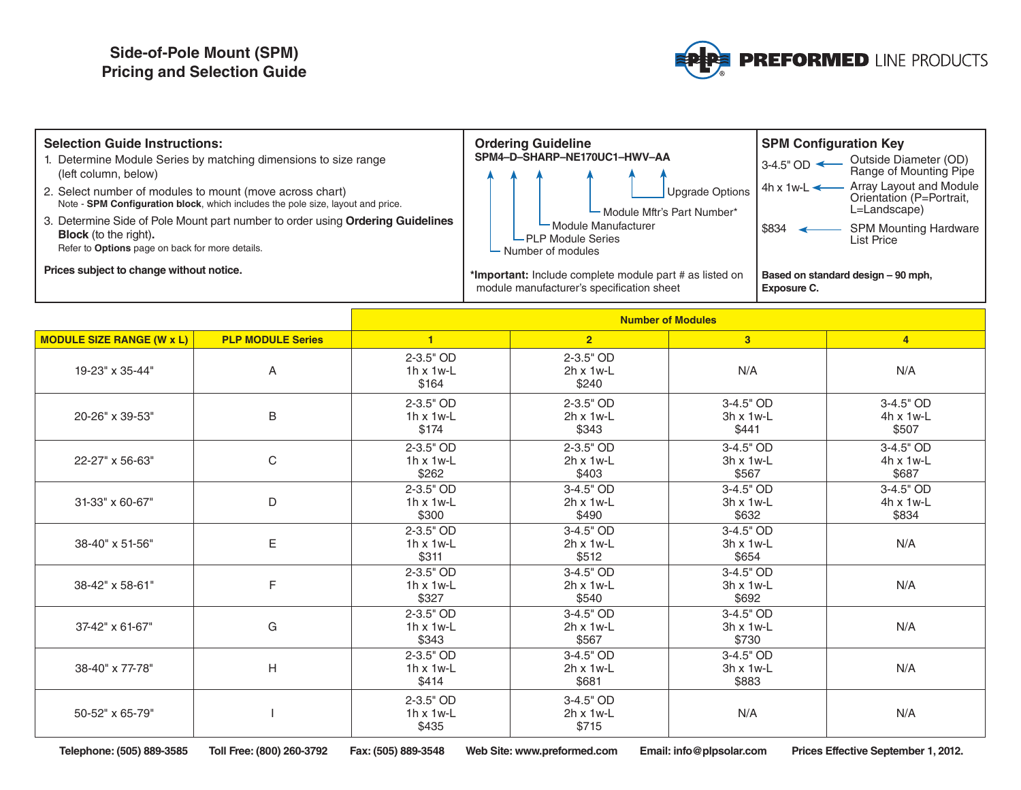## **Side-of-Pole Mount (SPM) Pricing and Selection Guide**



| <b>Selection Guide Instructions:</b>                                                                                                                              | <b>Ordering Guideline</b>                                                                            | <b>SPM Configuration Key</b>                                                            |  |
|-------------------------------------------------------------------------------------------------------------------------------------------------------------------|------------------------------------------------------------------------------------------------------|-----------------------------------------------------------------------------------------|--|
| Determine Module Series by matching dimensions to size range<br>(left column, below)                                                                              | SPM4-D-SHARP-NE170UC1-HWV-AA                                                                         | Outside Diameter (OD)<br>$13-4.5$ " OD $\leftarrow$<br>Range of Mounting Pipe           |  |
| 2. Select number of modules to mount (move across chart)<br>Note - SPM Configuration block, which includes the pole size, layout and price.                       | Upgrade Options<br>- Module Mftr's Part Number*                                                      | Array Layout and Module<br>$4h \times 1w-L$<br>Orientation (P=Portrait.<br>L=Landscape) |  |
| 3. Determine Side of Pole Mount part number to order using Ordering Guidelines<br><b>Block</b> (to the right).<br>Refer to Options page on back for more details. | Module Manufacturer<br>└ PLP Module Series<br>$\vdash$ Number of modules                             | \$834<br><b>SPM Mounting Hardware</b><br><b>List Price</b>                              |  |
| Prices subject to change without notice.                                                                                                                          | *Important: Include complete module part # as listed on<br>module manufacturer's specification sheet | Based on standard design - 90 mph,<br>Exposure C.                                       |  |

|                                  |                          | <b>Number of Modules</b>                   |                                                                                     |                                          |                                        |  |
|----------------------------------|--------------------------|--------------------------------------------|-------------------------------------------------------------------------------------|------------------------------------------|----------------------------------------|--|
| <b>MODULE SIZE RANGE (W x L)</b> | <b>PLP MODULE Series</b> | $\blacksquare$                             | $\overline{2}$                                                                      | 3 <sup>°</sup>                           | $\overline{4}$                         |  |
| 19-23" x 35-44"                  | A                        | 2-3.5" OD<br>$1h \times 1w-L$<br>\$164     | 2-3.5" OD<br>$2h \times 1w-L$<br>\$240                                              | N/A                                      | N/A                                    |  |
| 20-26" x 39-53"                  | $\sf B$                  |                                            | $2 - 3.5"$ OD<br>$2h \times 1w$ -L<br>\$343                                         | 3-4.5" OD<br>$3h \times 1w$ -L<br>\$441  | 3-4.5" OD<br>4h x 1w-L<br>\$507        |  |
| $\mathsf C$<br>22-27" x 56-63"   |                          | $2 - 3.5"$ OD<br>$1h \times 1w-L$<br>\$262 | $2 - 3.5"$ OD<br>$2h \times 1w-L$<br>\$403                                          | 3-4.5" OD<br>$3h \times 1w-L$<br>\$567   | 3-4.5" OD<br>4h x 1w-L<br>\$687        |  |
| D<br>31-33" x 60-67"             |                          | 2-3.5" OD<br>$1h \times 1w-L$<br>\$300     | $3-4.5"$ OD<br>$2h \times 1w-L$<br>\$490                                            | 3-4.5" OD<br>$3h \times 1w-L$<br>\$632   | 3-4.5" OD<br>$4h \times 1w-L$<br>\$834 |  |
| E<br>38-40" x 51-56"             |                          | $2 - 3.5"$ OD<br>$1h \times 1w-L$<br>\$311 | 3-4.5" OD<br>$2h \times 1w-L$<br>\$512                                              | 3-4.5" OD<br>$3h \times 1w-L$<br>\$654   | N/A                                    |  |
| F<br>38-42" x 58-61"             |                          | $2 - 3.5"$ OD<br>$1h \times 1w-L$<br>\$327 | $3-4.5"$ OD<br>$2h \times 1w-L$<br>\$540                                            | $3-4.5"$ OD<br>$3h \times 1w-L$<br>\$692 | N/A                                    |  |
| G<br>37-42" x 61-67"             |                          | 2-3.5" OD<br>$1h \times 1w-L$<br>\$343     | 3-4.5" OD<br>$2h \times 1w-L$<br>\$567                                              | 3-4.5" OD<br>$3h \times 1w-L$<br>\$730   | N/A                                    |  |
| 38-40" x 77-78"                  | H                        |                                            | $3-4.5"$ OD<br>3-4.5" OD<br>$2h \times 1w-L$<br>$3h \times 1w$ -L<br>\$681<br>\$883 |                                          | N/A                                    |  |
| 50-52" x 65-79"                  |                          | $2 - 3.5"$ OD<br>$1h \times 1w-L$<br>\$435 | 3-4.5" OD<br>$2h \times 1w-L$<br>\$715                                              | N/A                                      | N/A                                    |  |